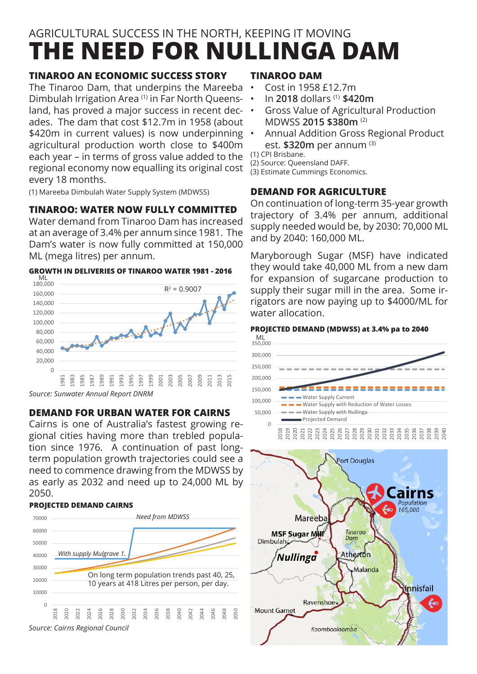# **THE NEED FOR NULLINGA DAM** AGRICULTURAL SUCCESS IN THE NORTH, KEEPING IT MOVING

## **TINAROO AN ECONOMIC SUCCESS STORY**

The Tinaroo Dam, that underpins the Mareeba Dimbulah Irrigation Area (1) in Far North Queensland, has proved a major success in recent decades. The dam that cost \$12.7m in 1958 (about \$420m in current values) is now underpinning agricultural production worth close to \$400m each year – in terms of gross value added to the regional economy now equalling its original cost every 18 months.

(1) Mareeba Dimbulah Water Supply System (MDWSS)

# **TINAROO: WATER NOW FULLY COMMITTED**

Water demand from Tinaroo Dam has increased at an average of 3.4% per annum since 1981. The Dam's water is now fully committed at 150,000 ML (mega litres) per annum.

### **GROWTH IN DELIVERIES OF TINAROO WATER 1981 - 2016**



*Source: Sunwater Annual Report DNRM*

### **DEMAND FOR URBAN WATER FOR CAIRNS**

Cairns is one of Australia's fastest growing regional cities having more than trebled population since 1976. A continuation of past longterm population growth trajectories could see a need to commence drawing from the MDWSS by as early as 2032 and need up to 24,000 ML by 2050.

### **PROJECTED DEMAND CAIRNS**



### **TINAROO DAM**

- • Cost in 1958 £12.7m
- • In **2018** dollars (1) **\$420m**
- Gross Value of Agricultural Production MDWSS **2015 \$380m** (2)
- Annual Addition Gross Regional Product est. **\$320m** per annum (3)

(1) CPI Brisbane.

(2) Source: Queensland DAFF.

(3) Estimate Cummings Economics.

### **DEMAND FOR AGRICULTURE**

On continuation of long-term 35-year growth trajectory of 3.4% per annum, additional supply needed would be, by 2030: 70,000 ML and by 2040: 160,000 ML.

Maryborough Sugar (MSF) have indicated they would take 40,000 ML from a new dam for expansion of sugarcane production to supply their sugar mill in the area. Some irrigators are now paying up to \$4000/ML for water allocation.

#### **PROJECTED DEMAND (MDWSS) at 3.4% pa to 2040**